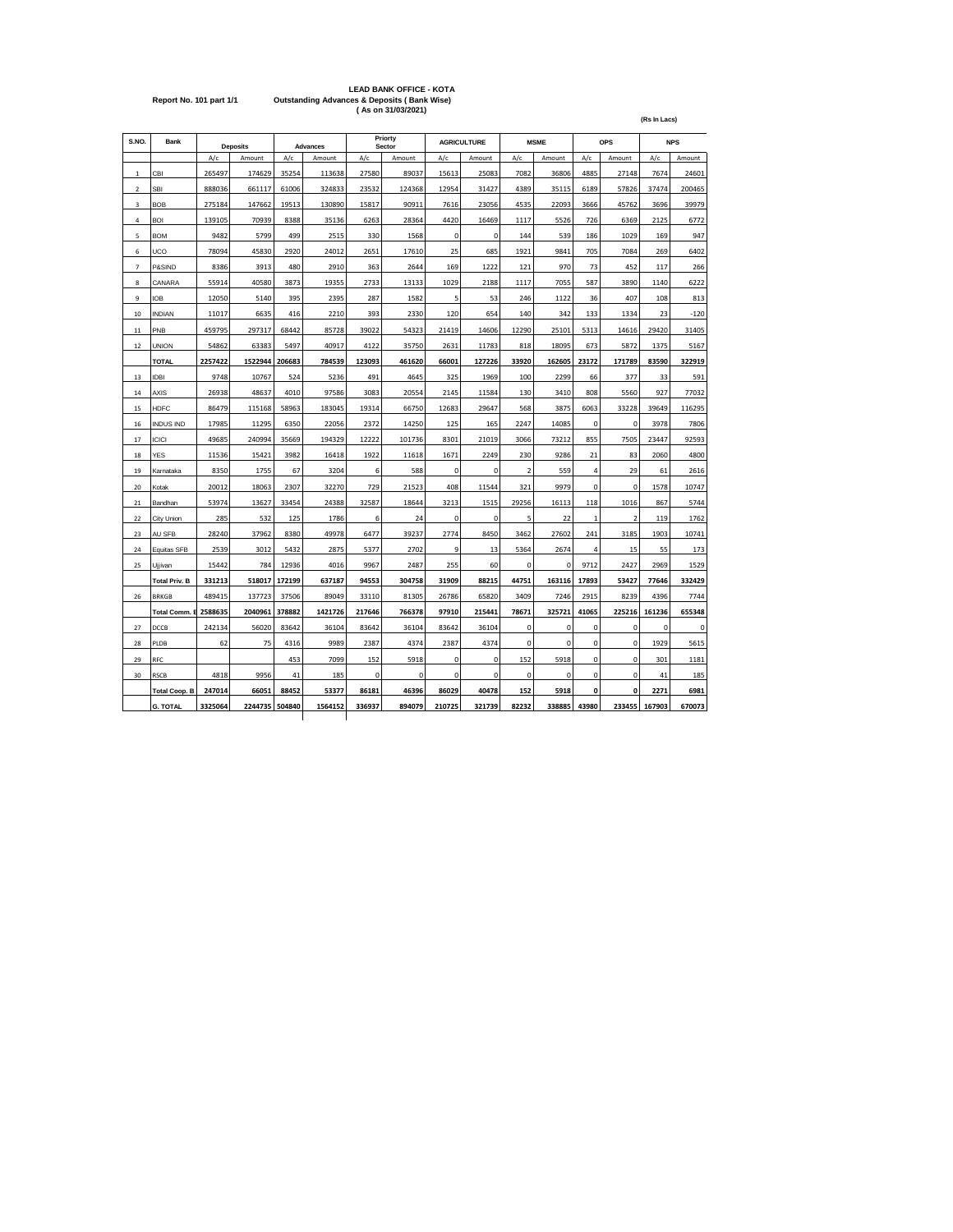|                         | <b>LEAD BANK OFFICE - KOTA</b>                         |
|-------------------------|--------------------------------------------------------|
| Report No. 101 part 1/1 | <b>Outstanding Advances &amp; Deposits (Bank Wise)</b> |
|                         | (As on 31/03/2021)                                     |

| S.NO.          | <b>Bank</b>          |         | <b>Deposits</b> |        | <b>Advances</b> |        | Priorty<br>Sector |             | <b>AGRICULTURE</b> |             | <b>MSME</b> |             | OPS            |             | <b>NPS</b> |
|----------------|----------------------|---------|-----------------|--------|-----------------|--------|-------------------|-------------|--------------------|-------------|-------------|-------------|----------------|-------------|------------|
|                |                      | A/c     | Amount          | A/c    | Amount          | A/c    | Amount            | A/c         | Amount             | A/c         | Amount      | A/c         | Amount         | A/c         | Amount     |
| $\mathbf 1$    | CBI                  | 265497  | 174629          | 35254  | 113638          | 27580  | 89037             | 15613       | 25083              | 7082        | 36806       | 4885        | 27148          | 7674        | 24601      |
| $\overline{2}$ | <b>SBI</b>           | 888036  | 661117          | 61006  | 324833          | 23532  | 124368            | 12954       | 31427              | 4389        | 35115       | 6189        | 57826          | 37474       | 200465     |
| 3              | <b>BOB</b>           | 275184  | 147662          | 19513  | 130890          | 15817  | 90911             | 7616        | 23056              | 4535        | 22093       | 3666        | 45762          | 3696        | 39979      |
| 4              | <b>BOI</b>           | 139105  | 70939           | 8388   | 35136           | 6263   | 28364             | 4420        | 16469              | 1117        | 5526        | 726         | 6369           | 2125        | 6772       |
| 5              | <b>BOM</b>           | 9482    | 5799            | 499    | 2515            | 330    | 1568              | 0           | 0                  | 144         | 539         | 186         | 1029           | 169         | 947        |
| 6              | UCO                  | 78094   | 45830           | 2920   | 24012           | 2651   | 17610             | 25          | 685                | 1921        | 9841        | 705         | 7084           | 269         | 6402       |
| $\overline{7}$ | P&SIND               | 8386    | 3913            | 480    | 2910            | 363    | 2644              | 169         | 1222               | 121         | 970         | 73          | 452            | 117         | 266        |
| 8              | CANARA               | 55914   | 40580           | 3873   | 19355           | 2733   | 13133             | 1029        | 2188               | 1117        | 7055        | 587         | 3890           | 1140        | 6222       |
| 9              | <b>IOB</b>           | 12050   | 5140            | 395    | 2395            | 287    | 1582              | 5           | 53                 | 246         | 1122        | 36          | 407            | 108         | 813        |
| 10             | INDIAN               | 11017   | 6635            | 416    | 2210            | 393    | 2330              | 120         | 654                | 140         | 342         | 133         | 1334           | 23          | $-120$     |
| 11             | PNB                  | 459795  | 297317          | 68442  | 85728           | 39022  | 54323             | 21419       | 14606              | 12290       | 25101       | 5313        | 14616          | 29420       | 31405      |
| 12             | <b>UNION</b>         | 54862   | 63383           | 5497   | 40917           | 4122   | 35750             | 2631        | 11783              | 818         | 18095       | 673         | 5872           | 1375        | 5167       |
|                | <b>TOTAL</b>         | 2257422 | 1522944         | 206683 | 784539          | 123093 | 461620            | 66001       | 127226             | 33920       | 162605      | 23172       | 171789         | 83590       | 322919     |
| 13             | <b>IDBI</b>          | 9748    | 10767           | 524    | 5236            | 491    | 4645              | 325         | 1969               | 100         | 2299        | 66          | 377            | 33          | 591        |
| 14             | AXIS                 | 26938   | 48637           | 4010   | 97586           | 3083   | 20554             | 2145        | 11584              | 130         | 3410        | 808         | 5560           | 927         | 77032      |
| 15             | HDFC                 | 86479   | 115168          | 58963  | 183045          | 19314  | 66750             | 12683       | 29647              | 568         | 3875        | 6063        | 33228          | 39649       | 116295     |
| 16             | <b>INDUS IND</b>     | 17985   | 11295           | 6350   | 22056           | 2372   | 14250             | 125         | 165                | 2247        | 14085       | $\mathbf 0$ | $\mathbf 0$    | 3978        | 7806       |
| 17             | <b>ICICI</b>         | 49685   | 240994          | 35669  | 194329          | 12222  | 101736            | 8301        | 21019              | 3066        | 73212       | 855         | 7505           | 23447       | 92593      |
| 18             | <b>YES</b>           | 11536   | 15421           | 3982   | 16418           | 1922   | 11618             | 1671        | 2249               | 230         | 9286        | 21          | 83             | 2060        | 4800       |
| 19             | Karnataka            | 8350    | 1755            | 67     | 3204            | 6      | 588               | 0           | 0                  | $\mathbf 2$ | 559         | 4           | 29             | 61          | 2616       |
| 20             | Kotak                | 20012   | 18063           | 2307   | 32270           | 729    | 21523             | 408         | 11544              | 321         | 9979        | 0           | 0              | 1578        | 10747      |
| 21             | Bandhan              | 53974   | 13627           | 33454  | 24388           | 32587  | 18644             | 3213        | 1515               | 29256       | 16113       | 118         | 1016           | 867         | 5744       |
| 22             | City Union           | 285     | 532             | 125    | 1786            | 6      | 24                | 0           | 0                  | 5           | 22          | 1           | $\overline{2}$ | 119         | 1762       |
| 23             | AU SFB               | 28240   | 37962           | 8380   | 49978           | 6477   | 39237             | 2774        | 8450               | 3462        | 27602       | 241         | 3185           | 1903        | 10741      |
| 24             | Equitas SFB          | 2539    | 3012            | 5432   | 2875            | 5377   | 2702              | 9           | 13                 | 5364        | 2674        | 4           | 15             | 55          | 173        |
| 25             | Ujjivan              | 15442   | 784             | 12936  | 4016            | 9967   | 2487              | 255         | 60                 | $\mathbf 0$ | $\mathbf 0$ | 9712        | 2427           | 2969        | 1529       |
|                | <b>Total Priv. B</b> | 331213  | 518017          | 172199 | 637187          | 94553  | 304758            | 31909       | 88215              | 44751       | 163116      | 17893       | 53427          | 77646       | 332429     |
| 26             | <b>BRKGB</b>         | 489415  | 137723          | 37506  | 89049           | 33110  | 81305             | 26786       | 65820              | 3409        | 7246        | 2915        | 8239           | 4396        | 7744       |
|                | <b>Total Comm. B</b> | 2588635 | 2040961         | 378882 | 1421726         | 217646 | 766378            | 97910       | 215441             | 78671       | 325721      | 41065       | 225216         | 161236      | 655348     |
| 27             | DCCB                 | 242134  | 56020           | 83642  | 36104           | 83642  | 36104             | 83642       | 36104              | $\mathbf 0$ | $\mathbf 0$ | 0           | $\mathbf 0$    | $\mathbf 0$ | 0          |
| 28             | PLDB                 | 62      | 75              | 4316   | 9989            | 2387   | 4374              | 2387        | 4374               | 0           | 0           | 0           | 0              | 1929        | 5615       |
| 29             | RFC                  |         |                 | 453    | 7099            | 152    | 5918              | $\mathbf 0$ | $\mathbf 0$        | 152         | 5918        | 0           | $\mathbf 0$    | 301         | 1181       |
| 30             | <b>RSCB</b>          | 4818    | 9956            | 41     | 185             | 0      | 0                 | 0           | 0                  | 0           | 0           | 0           | 0              | 41          | 185        |
|                | <b>Total Coop. B</b> | 247014  | 66051           | 88452  | 53377           | 86181  | 46396             | 86029       | 40478              | 152         | 5918        | 0           | 0              | 2271        | 6981       |
|                | <b>G. TOTAL</b>      | 3325064 | 2244735 504840  |        | 1564152         | 336937 | 894079            | 210725      | 321739             | 82232       | 338885      | 43980       | 233455         | 167903      | 670073     |
|                |                      |         |                 |        |                 |        |                   |             |                    |             |             |             |                |             |            |

**(Rs In Lacs)**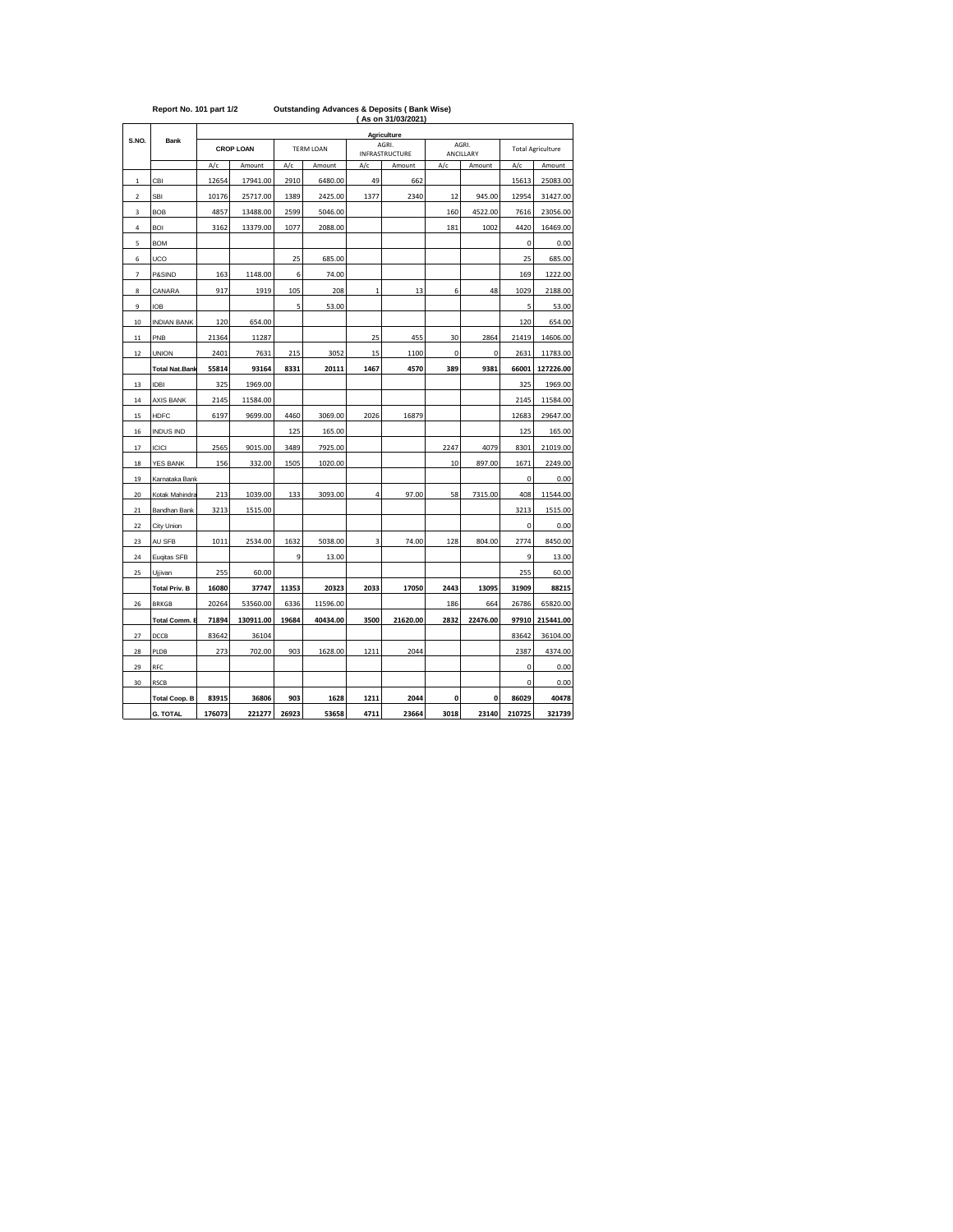|                |                       |        |                  | Agriculture |                  |              |                         |      |                    |                          |           |  |  |  |  |  |  |
|----------------|-----------------------|--------|------------------|-------------|------------------|--------------|-------------------------|------|--------------------|--------------------------|-----------|--|--|--|--|--|--|
| S.NO.          | Bank                  |        | <b>CROP LOAN</b> |             | <b>TERM LOAN</b> |              | AGRI.<br>INFRASTRUCTURE |      | AGRI.<br>ANCILLARY | <b>Total Agriculture</b> |           |  |  |  |  |  |  |
|                |                       | A/c    | Amount           | A/c         | Amount           | A/c          | Amount                  | A/c  | Amount             | A/c                      | Amount    |  |  |  |  |  |  |
| $\mathbf 1$    | CBI                   | 12654  | 17941.00         | 2910        | 6480.00          | 49           | 662                     |      |                    | 15613                    | 25083.00  |  |  |  |  |  |  |
| $\overline{2}$ | <b>SBI</b>            | 10176  | 25717.00         | 1389        | 2425.00          | 1377         | 2340                    | 12   | 945.00             | 12954                    | 31427.00  |  |  |  |  |  |  |
| 3              | <b>BOB</b>            | 4857   | 13488.00         | 2599        | 5046.00          |              |                         | 160  | 4522.00            | 7616                     | 23056.00  |  |  |  |  |  |  |
| 4              | <b>BOI</b>            | 3162   | 13379.00         | 1077        | 2088.00          |              |                         | 181  | 1002               | 4420                     | 16469.00  |  |  |  |  |  |  |
| 5              | <b>BOM</b>            |        |                  |             |                  |              |                         |      |                    | $\mathbf 0$              | 0.00      |  |  |  |  |  |  |
| 6              | UCO                   |        |                  | 25          | 685.00           |              |                         |      |                    | 25                       | 685.00    |  |  |  |  |  |  |
| $\overline{7}$ | P&SIND                | 163    | 1148.00          | 6           | 74.00            |              |                         |      |                    | 169                      | 1222.00   |  |  |  |  |  |  |
| 8              | CANARA                | 917    | 1919             | 105         | 208              | $\mathbf{1}$ | 13                      | 6    | 48                 | 1029                     | 2188.00   |  |  |  |  |  |  |
| 9              | <b>IOB</b>            |        |                  | 5           | 53.00            |              |                         |      |                    | 5                        | 53.00     |  |  |  |  |  |  |
| 10             | <b>INDIAN BANK</b>    | 120    | 654.00           |             |                  |              |                         |      |                    | 120                      | 654.00    |  |  |  |  |  |  |
| $11\,$         | PNB                   | 21364  | 11287            |             |                  | 25           | 455                     | 30   | 2864               | 21419                    | 14606.00  |  |  |  |  |  |  |
| 12             | <b>UNION</b>          | 2401   | 7631             | 215         | 3052             | 15           | 1100                    | 0    | 0                  | 2631                     | 11783.00  |  |  |  |  |  |  |
|                | <b>Total Nat.Bank</b> | 55814  | 93164            | 8331        | 20111            | 1467         | 4570                    | 389  | 9381               | 66001                    | 127226.00 |  |  |  |  |  |  |
| 13             | <b>IDBI</b>           | 325    | 1969.00          |             |                  |              |                         |      |                    | 325                      | 1969.00   |  |  |  |  |  |  |
| 14             | <b>AXIS BANK</b>      | 2145   | 11584.00         |             |                  |              |                         |      |                    | 2145                     | 11584.00  |  |  |  |  |  |  |
| 15             | <b>HDFC</b>           | 6197   | 9699.00          | 4460        | 3069.00          | 2026         | 16879                   |      |                    | 12683                    | 29647.00  |  |  |  |  |  |  |
| 16             | <b>INDUS IND</b>      |        |                  | 125         | 165.00           |              |                         |      |                    | 125                      | 165.00    |  |  |  |  |  |  |
| 17             | ICICI                 | 2565   | 9015.00          | 3489        | 7925.00          |              |                         | 2247 | 4079               | 8301                     | 21019.00  |  |  |  |  |  |  |
| 18             | YES BANK              | 156    | 332.00           | 1505        | 1020.00          |              |                         | 10   | 897.00             | 1671                     | 2249.00   |  |  |  |  |  |  |
| 19             | Karnataka Bank        |        |                  |             |                  |              |                         |      |                    | 0                        | 0.00      |  |  |  |  |  |  |
| 20             | Kotak Mahindra        | 213    | 1039.00          | 133         | 3093.00          | 4            | 97.00                   | 58   | 7315.00            | 408                      | 11544.00  |  |  |  |  |  |  |
| 21             | Bandhan Bank          | 3213   | 1515.00          |             |                  |              |                         |      |                    | 3213                     | 1515.00   |  |  |  |  |  |  |
| 22             | City Union            |        |                  |             |                  |              |                         |      |                    | 0                        | 0.00      |  |  |  |  |  |  |
| 23             | AU SFB                | 1011   | 2534.00          | 1632        | 5038.00          | 3            | 74.00                   | 128  | 804.00             | 2774                     | 8450.00   |  |  |  |  |  |  |
| 24             | Eugitas SFB           |        |                  | 9           | 13.00            |              |                         |      |                    | 9                        | 13.00     |  |  |  |  |  |  |
| 25             | Ujjivan               | 255    | 60.00            |             |                  |              |                         |      |                    | 255                      | 60.00     |  |  |  |  |  |  |
|                | <b>Total Priv. B</b>  | 16080  | 37747            | 11353       | 20323            | 2033         | 17050                   | 2443 | 13095              | 31909                    | 88215     |  |  |  |  |  |  |
| 26             | <b>BRKGB</b>          | 20264  | 53560.00         | 6336        | 11596.00         |              |                         | 186  | 664                | 26786                    | 65820.00  |  |  |  |  |  |  |
|                | <b>Total Comm. I</b>  | 71894  | 130911.00        | 19684       | 40434.00         | 3500         | 21620.00                | 2832 | 22476.00           | 97910                    | 215441.00 |  |  |  |  |  |  |
| 27             | DCCB                  | 83642  | 36104            |             |                  |              |                         |      |                    | 83642                    | 36104.00  |  |  |  |  |  |  |
| 28             | PLDB                  | 273    | 702.00           | 903         | 1628.00          | 1211         | 2044                    |      |                    | 2387                     | 4374.00   |  |  |  |  |  |  |
| 29             | RFC                   |        |                  |             |                  |              |                         |      |                    | 0                        | 0.00      |  |  |  |  |  |  |
| 30             | RSCB                  |        |                  |             |                  |              |                         |      |                    | 0                        | 0.00      |  |  |  |  |  |  |
|                | <b>Total Coop. B</b>  | 83915  | 36806            | 903         | 1628             | 1211         | 2044                    | 0    | 0                  | 86029                    | 40478     |  |  |  |  |  |  |
|                | <b>G. TOTAL</b>       | 176073 | 221277           | 26923       | 53658            | 4711         | 23664                   | 3018 | 23140              | 210725                   | 321739    |  |  |  |  |  |  |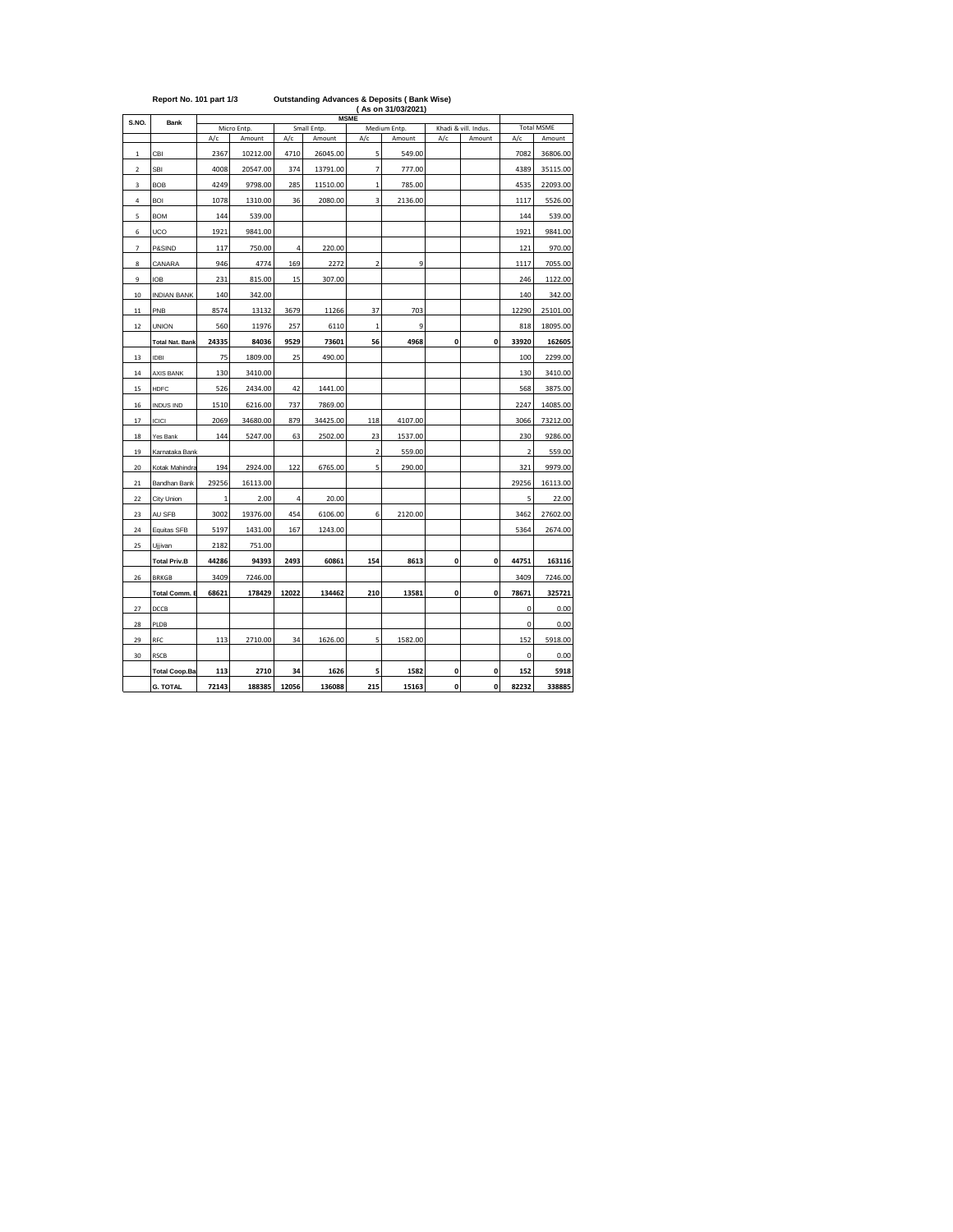| (As on 31/03/2021)<br><b>MSME</b> |                        |             |             |       |             |                         |              |             |                      |                         |          |  |  |
|-----------------------------------|------------------------|-------------|-------------|-------|-------------|-------------------------|--------------|-------------|----------------------|-------------------------|----------|--|--|
| S.NO.                             | <b>Bank</b>            |             | Micro Entp. |       | Small Entp. |                         | Medium Entp. |             | Khadi & vill. Indus. | <b>Total MSME</b>       |          |  |  |
|                                   |                        | A/c         | Amount      | A/c   | Amount      | A/c                     | Amount       | A/c         | Amount               | A/c                     | Amount   |  |  |
| $\,$ 1                            | CBI                    | 2367        | 10212.00    | 4710  | 26045.00    | 5                       | 549.00       |             |                      | 7082                    | 36806.00 |  |  |
| $\overline{\mathbf{2}}$           | <b>SBI</b>             | 4008        | 20547.00    | 374   | 13791.00    | $\overline{7}$          | 777.00       |             |                      | 4389                    | 35115.00 |  |  |
| 3                                 | <b>BOB</b>             | 4249        | 9798.00     | 285   | 11510.00    | $\mathbf{1}$            | 785.00       |             |                      | 4535                    | 22093.00 |  |  |
| 4                                 | <b>BOI</b>             | 1078        | 1310.00     | 36    | 2080.00     | $\overline{\mathbf{3}}$ | 2136.00      |             |                      | 1117                    | 5526.00  |  |  |
| 5                                 | <b>BOM</b>             | 144         | 539.00      |       |             |                         |              |             |                      | 144                     | 539.00   |  |  |
| 6                                 | UCO                    | 1921        | 9841.00     |       |             |                         |              |             |                      | 1921                    | 9841.00  |  |  |
| $\overline{\phantom{a}}$          | P&SIND                 | 117         | 750.00      | 4     | 220.00      |                         |              |             |                      | 121                     | 970.00   |  |  |
| 8                                 | CANARA                 | 946         | 4774        | 169   | 2272        | $\overline{2}$          | 9            |             |                      | 1117                    | 7055.00  |  |  |
| 9                                 | <b>IOB</b>             | 231         | 815.00      | 15    | 307.00      |                         |              |             |                      | 246                     | 1122.00  |  |  |
| 10                                | <b>INDIAN BANK</b>     | 140         | 342.00      |       |             |                         |              |             |                      | 140                     | 342.00   |  |  |
| $11\,$                            | PNB                    | 8574        | 13132       | 3679  | 11266       | 37                      | 703          |             |                      | 12290                   | 25101.00 |  |  |
| 12                                | <b>UNION</b>           | 560         | 11976       | 257   | 6110        | $\mathbf{1}$            | 9            |             |                      | 818                     | 18095.00 |  |  |
|                                   | <b>Total Nat. Bank</b> | 24335       | 84036       | 9529  | 73601       | 56                      | 4968         | 0           | 0                    | 33920                   | 162605   |  |  |
| $13\,$                            | <b>IDBI</b>            | 75          | 1809.00     | 25    | 490.00      |                         |              |             |                      | 100                     | 2299.00  |  |  |
| $14\,$                            | <b>AXIS BANK</b>       | 130         | 3410.00     |       |             |                         |              |             |                      | 130                     | 3410.00  |  |  |
| 15                                | <b>HDFC</b>            | 526         | 2434.00     | 42    | 1441.00     |                         |              |             |                      | 568                     | 3875.00  |  |  |
| 16                                | <b>INDUS IND</b>       | 1510        | 6216.00     | 737   | 7869.00     |                         |              |             |                      | 2247                    | 14085.00 |  |  |
| 17                                | <b>ICICI</b>           | 2069        | 34680.00    | 879   | 34425.00    | 118                     | 4107.00      |             |                      | 3066                    | 73212.00 |  |  |
| 18                                | Yes Bank               | 144         | 5247.00     | 63    | 2502.00     | 23                      | 1537.00      |             |                      | 230                     | 9286.00  |  |  |
| 19                                | Karnataka Bank         |             |             |       |             | $\overline{\mathbf{2}}$ | 559.00       |             |                      | $\overline{\mathbf{2}}$ | 559.00   |  |  |
| 20                                | Kotak Mahindra         | 194         | 2924.00     | 122   | 6765.00     | 5                       | 290.00       |             |                      | 321                     | 9979.00  |  |  |
| 21                                | Bandhan Bank           | 29256       | 16113.00    |       |             |                         |              |             |                      | 29256                   | 16113.00 |  |  |
| 22                                | City Union             | $\mathbf 1$ | 2.00        | 4     | 20.00       |                         |              |             |                      | 5                       | 22.00    |  |  |
| 23                                | AU SFB                 | 3002        | 19376.00    | 454   | 6106.00     | 6                       | 2120.00      |             |                      | 3462                    | 27602.00 |  |  |
| 24                                | Equitas SFB            | 5197        | 1431.00     | 167   | 1243.00     |                         |              |             |                      | 5364                    | 2674.00  |  |  |
| 25                                | Ujjivan                | 2182        | 751.00      |       |             |                         |              |             |                      |                         |          |  |  |
|                                   | <b>Total Priv.B</b>    | 44286       | 94393       | 2493  | 60861       | 154                     | 8613         | 0           | 0                    | 44751                   | 163116   |  |  |
| 26                                | <b>BRKGB</b>           | 3409        | 7246.00     |       |             |                         |              |             |                      | 3409                    | 7246.00  |  |  |
|                                   | <b>Total Comm. E</b>   | 68621       | 178429      | 12022 | 134462      | 210                     | 13581        | $\mathbf 0$ | 0                    | 78671                   | 325721   |  |  |
| 27                                | DCCB                   |             |             |       |             |                         |              |             |                      | 0                       | 0.00     |  |  |
| 28                                | PLDB                   |             |             |       |             |                         |              |             |                      | 0                       | 0.00     |  |  |
| 29                                | RFC                    | 113         | 2710.00     | 34    | 1626.00     | 5                       | 1582.00      |             |                      | 152                     | 5918.00  |  |  |
| 30                                | <b>RSCB</b>            |             |             |       |             |                         |              |             |                      | 0                       | 0.00     |  |  |
|                                   | <b>Total Coop.Ba</b>   | 113         | 2710        | 34    | 1626        | 5                       | 1582         | 0           | 0                    | 152                     | 5918     |  |  |
|                                   | <b>G. TOTAL</b>        | 72143       | 188385      | 12056 | 136088      | 215                     | 15163        | 0           | 0                    | 82232                   | 338885   |  |  |

## **Report No. 101 part 1/3 Outstanding Advances & Deposits ( Bank Wise)**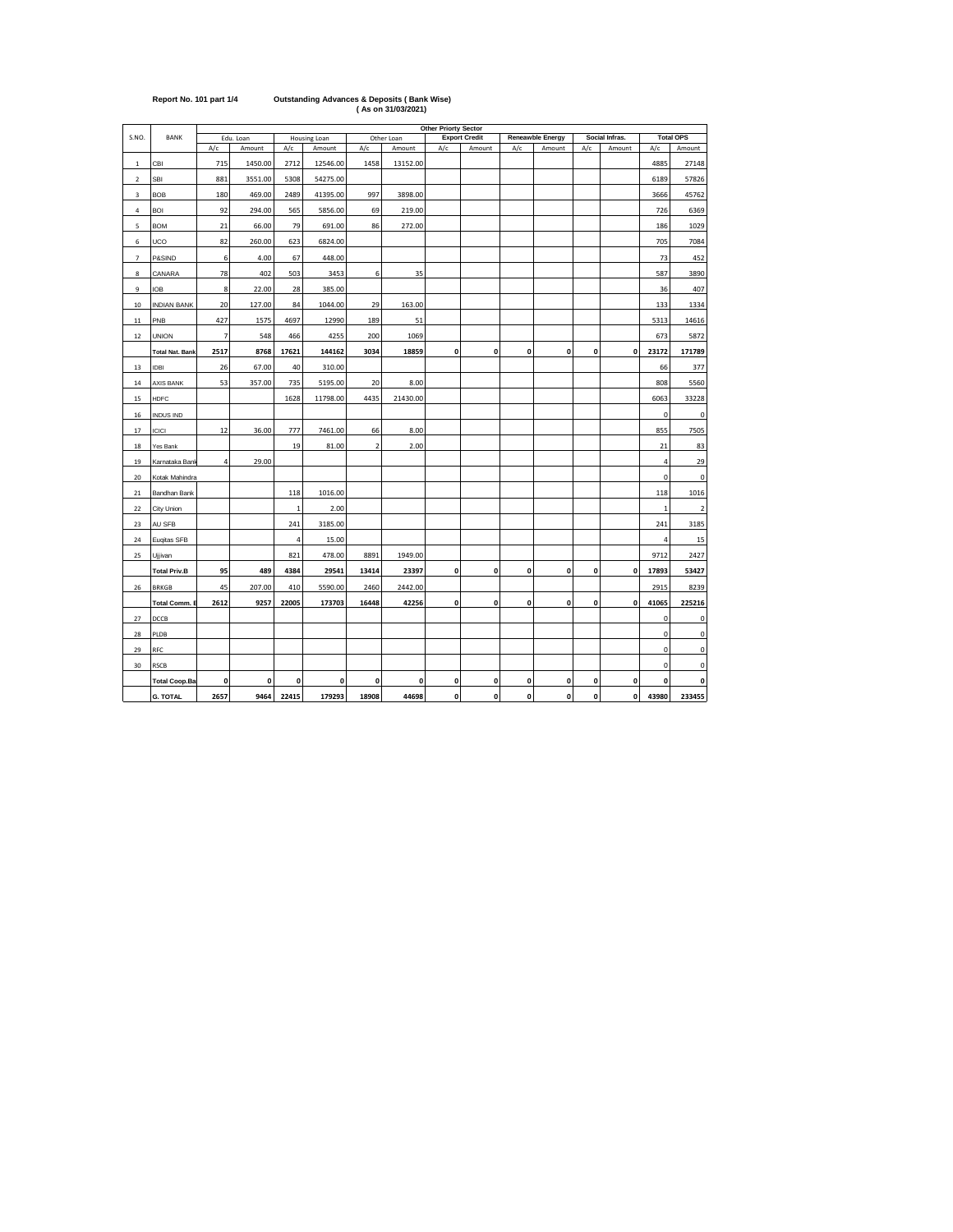|                         |                        | <b>Other Priorty Sector</b> |           |              |              |                         |            |     |                      |     |                  |              |                    |                |                  |
|-------------------------|------------------------|-----------------------------|-----------|--------------|--------------|-------------------------|------------|-----|----------------------|-----|------------------|--------------|--------------------|----------------|------------------|
| S.NO.                   | BANK                   |                             | Edu. Loan |              | Housing Loan |                         | Other Loan |     | <b>Export Credit</b> |     | Reneawble Energy |              | Social Infras.     |                | <b>Total OPS</b> |
|                         |                        | A/c                         | Amount    | A/c          | Amount       | A/c                     | Amount     | A/c | Amount               | A/c | Amount           | A/c          | Amount             | A/c            | Amount           |
| $\mathbf 1$             | CBI                    | 715                         | 1450.00   | 2712         | 12546.00     | 1458                    | 13152.00   |     |                      |     |                  |              |                    | 4885           | 27148            |
| $\overline{\mathbf{2}}$ | <b>SBI</b>             | 881                         | 3551.00   | 5308         | 54275.00     |                         |            |     |                      |     |                  |              |                    | 6189           | 57826            |
| 3                       | <b>BOB</b>             | 180                         | 469.00    | 2489         | 41395.00     | 997                     | 3898.00    |     |                      |     |                  |              |                    | 3666           | 45762            |
| 4                       | <b>BOI</b>             | 92                          | 294.00    | 565          | 5856.00      | 69                      | 219.00     |     |                      |     |                  |              |                    | 726            | 6369             |
| 5                       | <b>BOM</b>             | 21                          | 66.00     | 79           | 691.00       | 86                      | 272.00     |     |                      |     |                  |              |                    | 186            | 1029             |
| 6                       | UCO                    | 82                          | 260.00    | 623          | 6824.00      |                         |            |     |                      |     |                  |              |                    | 705            | 7084             |
| $\overline{7}$          | P&SIND                 | 6                           | 4.00      | 67           | 448.00       |                         |            |     |                      |     |                  |              |                    | 73             | 452              |
| 8                       | CANARA                 | 78                          | 402       | 503          | 3453         | 6                       | 35         |     |                      |     |                  |              |                    | 587            | 3890             |
| 9                       | <b>IOB</b>             | 8                           | 22.00     | 28           | 385.00       |                         |            |     |                      |     |                  |              |                    | 36             | 407              |
| 10                      | <b>INDIAN BANK</b>     | 20                          | 127.00    | 84           | 1044.00      | 29                      | 163.00     |     |                      |     |                  |              |                    | 133            | 1334             |
| 11                      | PNB                    | 427                         | 1575      | 4697         | 12990        | 189                     | 51         |     |                      |     |                  |              |                    | 5313           | 14616            |
| 12                      | <b>UNION</b>           | $\overline{7}$              | 548       | 466          | 4255         | 200                     | 1069       |     |                      |     |                  |              |                    | 673            | 5872             |
|                         | <b>Total Nat. Bank</b> | 2517                        | 8768      | 17621        | 144162       | 3034                    | 18859      | 0   | $\pmb{0}$            | 0   | 0                | 0            | 0                  | 23172          | 171789           |
| 13                      | <b>IDBI</b>            | 26                          | 67.00     | 40           | 310.00       |                         |            |     |                      |     |                  |              |                    | 66             | 377              |
| 14                      | <b>AXIS BANK</b>       | 53                          | 357.00    | 735          | 5195.00      | 20                      | 8.00       |     |                      |     |                  |              |                    | 808            | 5560             |
| 15                      | <b>HDFC</b>            |                             |           | 1628         | 11798.00     | 4435                    | 21430.00   |     |                      |     |                  |              |                    | 6063           | 33228            |
| 16                      | INDUS IND              |                             |           |              |              |                         |            |     |                      |     |                  |              |                    | 0              | 0                |
| 17                      | ICICI                  | 12                          | 36.00     | 777          | 7461.00      | 66                      | 8.00       |     |                      |     |                  |              |                    | 855            | 7505             |
| 18                      | Yes Bank               |                             |           | 19           | 81.00        | $\overline{\mathbf{c}}$ | 2.00       |     |                      |     |                  |              |                    | 21             | 83               |
| 19                      | Karnataka Bani         | $\overline{4}$              | 29.00     |              |              |                         |            |     |                      |     |                  |              |                    | $\overline{4}$ | 29               |
| 20                      | Kotak Mahindra         |                             |           |              |              |                         |            |     |                      |     |                  |              |                    | $\mathbf 0$    | 0                |
| 21                      | Bandhan Bank           |                             |           | 118          | 1016.00      |                         |            |     |                      |     |                  |              |                    | 118            | 1016             |
| 22                      | City Union             |                             |           | $\mathbf{1}$ | 2.00         |                         |            |     |                      |     |                  |              |                    | $\mathbf{1}$   | $\overline{2}$   |
| 23                      | AU SFB                 |                             |           | 241          | 3185.00      |                         |            |     |                      |     |                  |              |                    | 241            | 3185             |
| 24                      | Euqitas SFB            |                             |           | 4            | 15.00        |                         |            |     |                      |     |                  |              |                    | $\overline{a}$ | 15               |
| 25                      | Ujjivan                |                             |           | 821          | 478.00       | 8891                    | 1949.00    |     |                      |     |                  |              |                    | 9712           | 2427             |
|                         | <b>Total Priv.B</b>    | 95                          | 489       | 4384         | 29541        | 13414                   | 23397      | 0   | 0                    | 0   | 0                | 0            | 0                  | 17893          | 53427            |
| 26                      | <b>BRKGB</b>           | 45                          | 207.00    | 410          | 5590.00      | 2460                    | 2442.00    |     |                      |     |                  |              |                    | 2915           | 8239             |
|                         | <b>Total Comm. I</b>   | 2612                        | 9257      | 22005        | 173703       | 16448                   | 42256      | 0   | 0                    | 0   | 0                | $\mathbf{0}$ | $\mathbf{0}$       | 41065          | 225216           |
| 27                      | DCCB                   |                             |           |              |              |                         |            |     |                      |     |                  |              |                    | 0              | 0                |
| 28                      | PLDB                   |                             |           |              |              |                         |            |     |                      |     |                  |              |                    | 0              | 0                |
| 29                      | RFC                    |                             |           |              |              |                         |            |     |                      |     |                  |              |                    | 0              | 0                |
| 30                      | <b>RSCB</b>            |                             |           |              |              |                         |            |     |                      |     |                  |              |                    | 0              | 0                |
|                         | <b>Total Coop.Ba</b>   | 0                           | 0         | 0            | 0            | 0                       | 0          | 0   | 0                    | 0   | 0                | 0            | 0                  | 0              | 0                |
|                         | <b>G. TOTAL</b>        | 2657                        | 9464      | 22415        | 179293       | 18908                   | 44698      | 0   | 0                    | 0   | 0                | $\pmb{0}$    | $\pmb{\mathsf{o}}$ | 43980          | 233455           |

**Report No. 101 part 1/4 Outstanding Advances & Deposits ( Bank Wise) ( As on 31/03/2021)**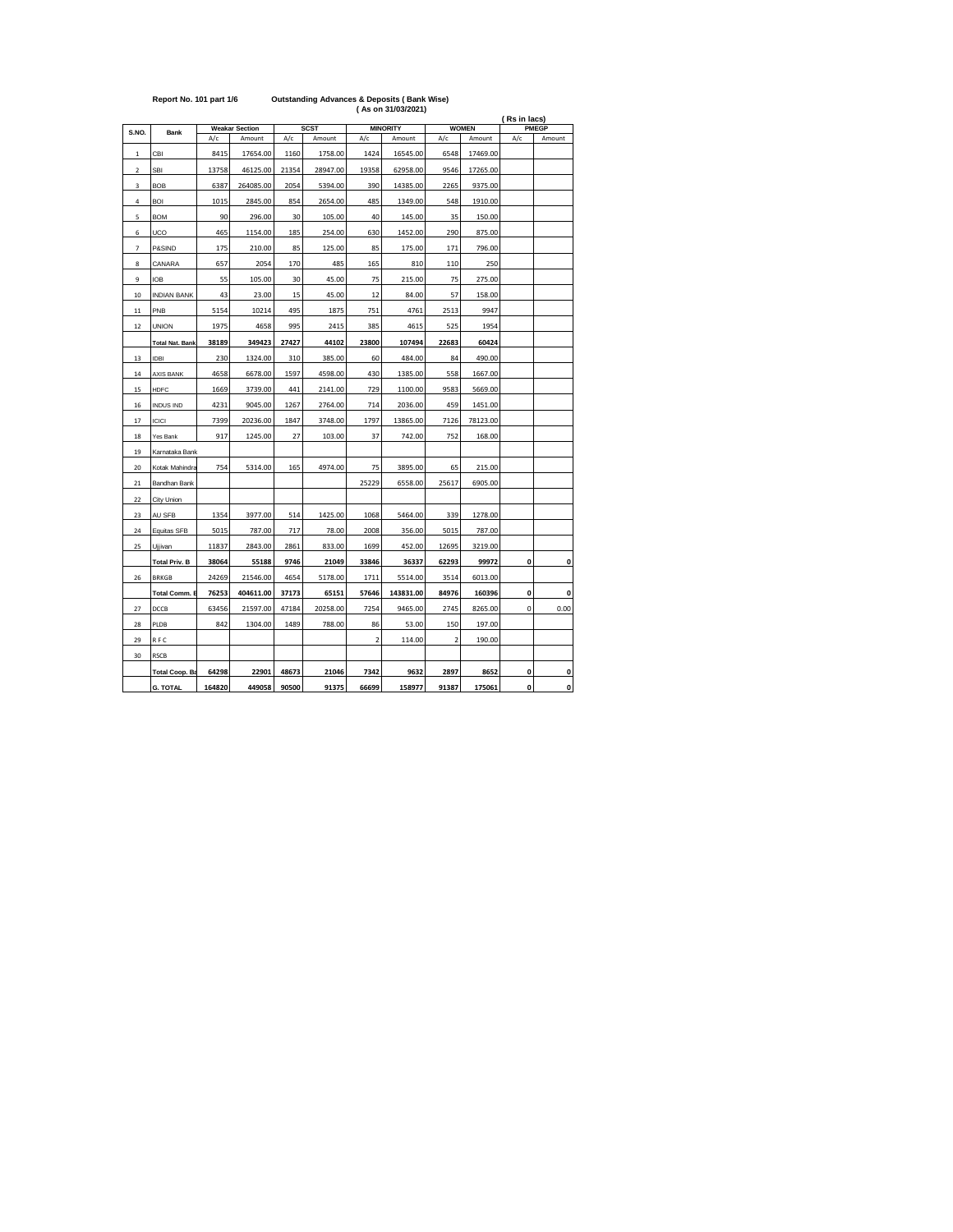|                         |                        |        |                       |       |             |                         | (ASO 1103/2021)<br>(Rs in lacs) |                |              |              |              |  |
|-------------------------|------------------------|--------|-----------------------|-------|-------------|-------------------------|---------------------------------|----------------|--------------|--------------|--------------|--|
| S.NO.                   | <b>Bank</b>            |        | <b>Weakar Section</b> |       | <b>SCST</b> |                         | <b>MINORITY</b>                 |                | <b>WOMEN</b> | PMEGP        |              |  |
|                         |                        | A/c    | Amount                | A/c   | Amount      | A/c                     | Amount                          | A/c            | Amount       | A/c          | Amount       |  |
| 1                       | CBI                    | 8415   | 17654.00              | 1160  | 1758.00     | 1424                    | 16545.00                        | 6548           | 17469.00     |              |              |  |
| $\overline{\mathbf{2}}$ | SBI                    | 13758  | 46125.00              | 21354 | 28947.00    | 19358                   | 62958.00                        | 9546           | 17265.00     |              |              |  |
| 3                       | <b>BOB</b>             | 6387   | 264085.00             | 2054  | 5394.00     | 390                     | 14385.00                        | 2265           | 9375.00      |              |              |  |
| 4                       | <b>BOI</b>             | 1015   | 2845.00               | 854   | 2654.00     | 485                     | 1349.00                         | 548            | 1910.00      |              |              |  |
| 5                       | <b>BOM</b>             | 90     | 296.00                | 30    | 105.00      | 40                      | 145.00                          | 35             | 150.00       |              |              |  |
| 6                       | UCO                    | 465    | 1154.00               | 185   | 254.00      | 630                     | 1452.00                         | 290            | 875.00       |              |              |  |
| 7                       | P&SIND                 | 175    | 210.00                | 85    | 125.00      | 85                      | 175.00                          | 171            | 796.00       |              |              |  |
| 8                       | CANARA                 | 657    | 2054                  | 170   | 485         | 165                     | 810                             | 110            | 250          |              |              |  |
| 9                       | IOB                    | 55     | 105.00                | 30    | 45.00       | 75                      | 215.00                          | 75             | 275.00       |              |              |  |
| 10                      | <b>INDIAN BANK</b>     | 43     | 23.00                 | 15    | 45.00       | 12                      | 84.00                           | 57             | 158.00       |              |              |  |
| 11                      | PNB                    | 5154   | 10214                 | 495   | 1875        | 751                     | 4761                            | 2513           | 9947         |              |              |  |
| 12                      | UNION                  | 1975   | 4658                  | 995   | 2415        | 385                     | 4615                            | 525            | 1954         |              |              |  |
|                         | <b>Total Nat. Bank</b> | 38189  | 349423                | 27427 | 44102       | 23800                   | 107494                          | 22683          | 60424        |              |              |  |
| 13                      | <b>IDBI</b>            | 230    | 1324.00               | 310   | 385.00      | 60                      | 484.00                          | 84             | 490.00       |              |              |  |
| 14                      | <b>AXIS BANK</b>       | 4658   | 6678.00               | 1597  | 4598.00     | 430                     | 1385.00                         | 558            | 1667.00      |              |              |  |
| 15                      | <b>HDFC</b>            | 1669   | 3739.00               | 441   | 2141.00     | 729                     | 1100.00                         | 9583           | 5669.00      |              |              |  |
| 16                      | INDUS IND              | 4231   | 9045.00               | 1267  | 2764.00     | 714                     | 2036.00                         | 459            | 1451.00      |              |              |  |
| 17                      | <b>ICICI</b>           | 7399   | 20236.00              | 1847  | 3748.00     | 1797                    | 13865.00                        | 7126           | 78123.00     |              |              |  |
| 18                      | Yes Bank               | 917    | 1245.00               | 27    | 103.00      | 37                      | 742.00                          | 752            | 168.00       |              |              |  |
| 19                      | Karnataka Bank         |        |                       |       |             |                         |                                 |                |              |              |              |  |
| 20                      | Kotak Mahindra         | 754    | 5314.00               | 165   | 4974.00     | 75                      | 3895.00                         | 65             | 215.00       |              |              |  |
| 21                      | Bandhan Bank           |        |                       |       |             | 25229                   | 6558.00                         | 25617          | 6905.00      |              |              |  |
| 22                      | City Union             |        |                       |       |             |                         |                                 |                |              |              |              |  |
| 23                      | AU SFB                 | 1354   | 3977.00               | 514   | 1425.00     | 1068                    | 5464.00                         | 339            | 1278.00      |              |              |  |
| 24                      | Equitas SFB            | 5015   | 787.00                | 717   | 78.00       | 2008                    | 356.00                          | 5015           | 787.00       |              |              |  |
| 25                      | Ujjivan                | 11837  | 2843.00               | 2861  | 833.00      | 1699                    | 452.00                          | 12695          | 3219.00      |              |              |  |
|                         | <b>Total Priv. B</b>   | 38064  | 55188                 | 9746  | 21049       | 33846                   | 36337                           | 62293          | 99972        | $\mathbf{0}$ | 0            |  |
| 26                      | <b>BRKGB</b>           | 24269  | 21546.00              | 4654  | 5178.00     | 1711                    | 5514.00                         | 3514           | 6013.00      |              |              |  |
|                         | <b>Total Comm. E</b>   | 76253  | 404611.00             | 37173 | 65151       | 57646                   | 143831.00                       | 84976          | 160396       | 0            | 0            |  |
| 27                      | DCCB                   | 63456  | 21597.00              | 47184 | 20258.00    | 7254                    | 9465.00                         | 2745           | 8265.00      | 0            | 0.00         |  |
| 28                      | PLDB                   | 842    | 1304.00               | 1489  | 788.00      | 86                      | 53.00                           | 150            | 197.00       |              |              |  |
| 29                      | R F C                  |        |                       |       |             | $\overline{\mathbf{2}}$ | 114.00                          | $\overline{a}$ | 190.00       |              |              |  |
| 30                      | RSCB                   |        |                       |       |             |                         |                                 |                |              |              |              |  |
|                         | <b>Total Coop. Ba</b>  | 64298  | 22901                 | 48673 | 21046       | 7342                    | 9632                            | 2897           | 8652         | 0            | 0            |  |
|                         | <b>G. TOTAL</b>        | 164820 | 449058                | 90500 | 91375       | 66699                   | 158977                          | 91387          | 175061       | $\mathbf{0}$ | $\mathbf{0}$ |  |

## **Report No. 101 part 1/6 Outstanding Advances & Deposits ( Bank Wise) ( As on 31/03/2021)**